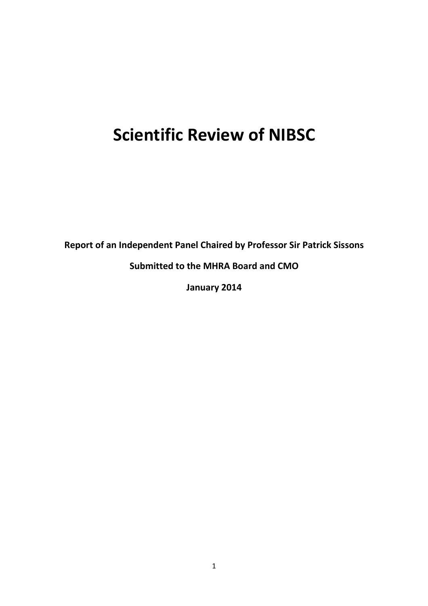# **Scientific Review of NIBSC**

**Report of an Independent Panel Chaired by Professor Sir Patrick Sissons** 

**Submitted to the MHRA Board and CMO** 

**January 2014**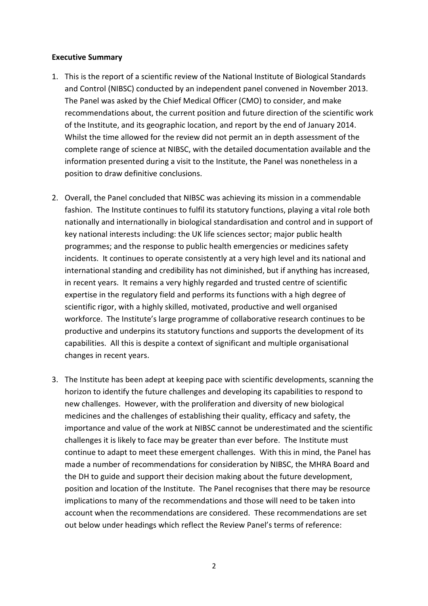#### **Executive Summary**

- 1. This is the report of a scientific review of the National Institute of Biological Standards and Control (NIBSC) conducted by an independent panel convened in November 2013. The Panel was asked by the Chief Medical Officer (CMO) to consider, and make recommendations about, the current position and future direction of the scientific work of the Institute, and its geographic location, and report by the end of January 2014. Whilst the time allowed for the review did not permit an in depth assessment of the complete range of science at NIBSC, with the detailed documentation available and the information presented during a visit to the Institute, the Panel was nonetheless in a position to draw definitive conclusions.
- 2. Overall, the Panel concluded that NIBSC was achieving its mission in a commendable fashion. The Institute continues to fulfil its statutory functions, playing a vital role both nationally and internationally in biological standardisation and control and in support of key national interests including: the UK life sciences sector; major public health programmes; and the response to public health emergencies or medicines safety incidents. It continues to operate consistently at a very high level and its national and international standing and credibility has not diminished, but if anything has increased, in recent years. It remains a very highly regarded and trusted centre of scientific expertise in the regulatory field and performs its functions with a high degree of scientific rigor, with a highly skilled, motivated, productive and well organised workforce. The Institute's large programme of collaborative research continues to be productive and underpins its statutory functions and supports the development of its capabilities. All this is despite a context of significant and multiple organisational changes in recent years.
- 3. The Institute has been adept at keeping pace with scientific developments, scanning the horizon to identify the future challenges and developing its capabilities to respond to new challenges. However, with the proliferation and diversity of new biological medicines and the challenges of establishing their quality, efficacy and safety, the importance and value of the work at NIBSC cannot be underestimated and the scientific challenges it is likely to face may be greater than ever before. The Institute must continue to adapt to meet these emergent challenges. With this in mind, the Panel has made a number of recommendations for consideration by NIBSC, the MHRA Board and the DH to guide and support their decision making about the future development, position and location of the Institute. The Panel recognises that there may be resource implications to many of the recommendations and those will need to be taken into account when the recommendations are considered. These recommendations are set out below under headings which reflect the Review Panel's terms of reference: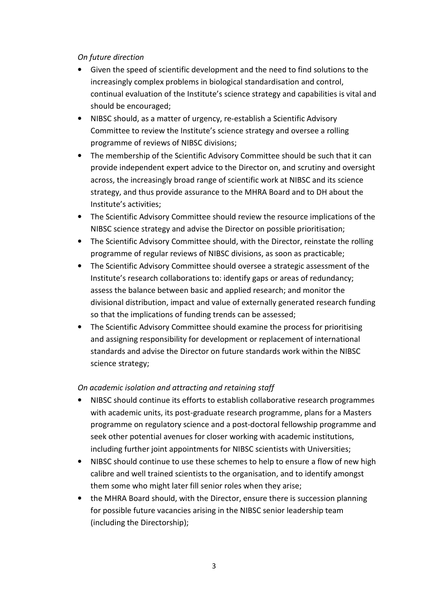# *On future direction*

- Given the speed of scientific development and the need to find solutions to the increasingly complex problems in biological standardisation and control, continual evaluation of the Institute's science strategy and capabilities is vital and should be encouraged;
- NIBSC should, as a matter of urgency, re-establish a Scientific Advisory Committee to review the Institute's science strategy and oversee a rolling programme of reviews of NIBSC divisions;
- The membership of the Scientific Advisory Committee should be such that it can provide independent expert advice to the Director on, and scrutiny and oversight across, the increasingly broad range of scientific work at NIBSC and its science strategy, and thus provide assurance to the MHRA Board and to DH about the Institute's activities;
- The Scientific Advisory Committee should review the resource implications of the NIBSC science strategy and advise the Director on possible prioritisation;
- The Scientific Advisory Committee should, with the Director, reinstate the rolling programme of regular reviews of NIBSC divisions, as soon as practicable;
- The Scientific Advisory Committee should oversee a strategic assessment of the Institute's research collaborations to: identify gaps or areas of redundancy; assess the balance between basic and applied research; and monitor the divisional distribution, impact and value of externally generated research funding so that the implications of funding trends can be assessed;
- The Scientific Advisory Committee should examine the process for prioritising and assigning responsibility for development or replacement of international standards and advise the Director on future standards work within the NIBSC science strategy;

# *On academic isolation and attracting and retaining staff*

- NIBSC should continue its efforts to establish collaborative research programmes with academic units, its post-graduate research programme, plans for a Masters programme on regulatory science and a post-doctoral fellowship programme and seek other potential avenues for closer working with academic institutions, including further joint appointments for NIBSC scientists with Universities;
- NIBSC should continue to use these schemes to help to ensure a flow of new high calibre and well trained scientists to the organisation, and to identify amongst them some who might later fill senior roles when they arise;
- the MHRA Board should, with the Director, ensure there is succession planning for possible future vacancies arising in the NIBSC senior leadership team (including the Directorship);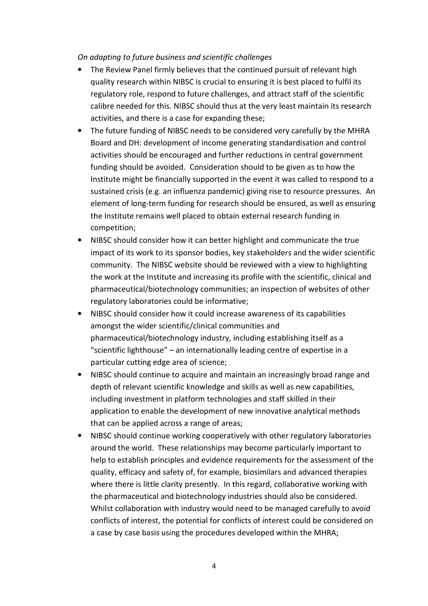*On adapting to future business and scientific challenges* 

- The Review Panel firmly believes that the continued pursuit of relevant high quality research within NIBSC is crucial to ensuring it is best placed to fulfil its regulatory role, respond to future challenges, and attract staff of the scientific calibre needed for this. NIBSC should thus at the very least maintain its research activities, and there is a case for expanding these;
- The future funding of NIBSC needs to be considered very carefully by the MHRA Board and DH: development of income generating standardisation and control activities should be encouraged and further reductions in central government funding should be avoided. Consideration should to be given as to how the Institute might be financially supported in the event it was called to respond to a sustained crisis (e.g. an influenza pandemic) giving rise to resource pressures. An element of long-term funding for research should be ensured, as well as ensuring the Institute remains well placed to obtain external research funding in competition;
- NIBSC should consider how it can better highlight and communicate the true impact of its work to its sponsor bodies, key stakeholders and the wider scientific community. The NIBSC website should be reviewed with a view to highlighting the work at the Institute and increasing its profile with the scientific, clinical and pharmaceutical/biotechnology communities; an inspection of websites of other regulatory laboratories could be informative;
- NIBSC should consider how it could increase awareness of its capabilities amongst the wider scientific/clinical communities and pharmaceutical/biotechnology industry, including establishing itself as a "scientific lighthouse" – an internationally leading centre of expertise in a particular cutting edge area of science;
- NIBSC should continue to acquire and maintain an increasingly broad range and depth of relevant scientific knowledge and skills as well as new capabilities, including investment in platform technologies and staff skilled in their application to enable the development of new innovative analytical methods that can be applied across a range of areas;
- NIBSC should continue working cooperatively with other regulatory laboratories around the world. These relationships may become particularly important to help to establish principles and evidence requirements for the assessment of the quality, efficacy and safety of, for example, biosimilars and advanced therapies where there is little clarity presently. In this regard, collaborative working with the pharmaceutical and biotechnology industries should also be considered. Whilst collaboration with industry would need to be managed carefully to avoid conflicts of interest, the potential for conflicts of interest could be considered on a case by case basis using the procedures developed within the MHRA;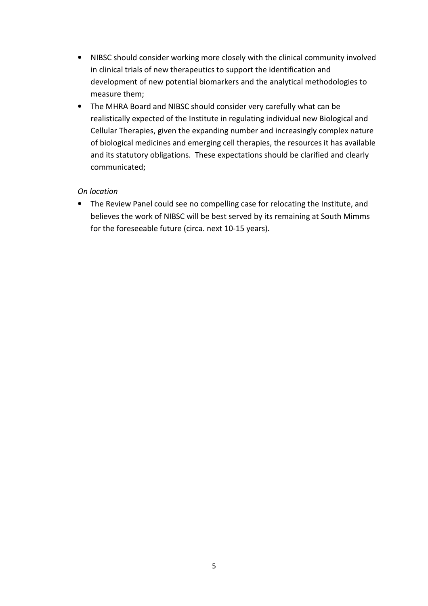- NIBSC should consider working more closely with the clinical community involved in clinical trials of new therapeutics to support the identification and development of new potential biomarkers and the analytical methodologies to measure them;
- The MHRA Board and NIBSC should consider very carefully what can be realistically expected of the Institute in regulating individual new Biological and Cellular Therapies, given the expanding number and increasingly complex nature of biological medicines and emerging cell therapies, the resources it has available and its statutory obligations. These expectations should be clarified and clearly communicated;

# *On location*

• The Review Panel could see no compelling case for relocating the Institute, and believes the work of NIBSC will be best served by its remaining at South Mimms for the foreseeable future (circa. next 10-15 years).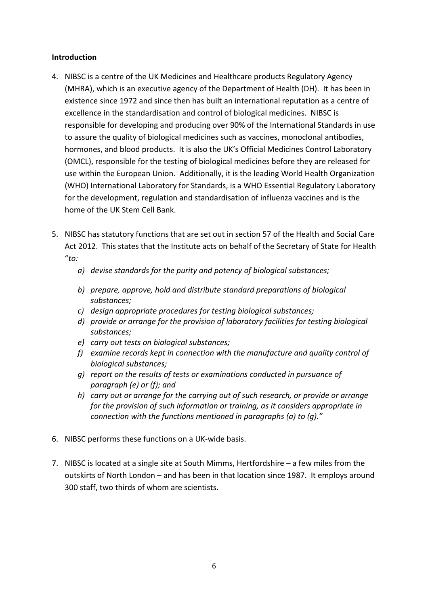## **Introduction**

- 4. NIBSC is a centre of the UK Medicines and Healthcare products Regulatory Agency (MHRA), which is an executive agency of the Department of Health (DH). It has been in existence since 1972 and since then has built an international reputation as a centre of excellence in the standardisation and control of biological medicines. NIBSC is responsible for developing and producing over 90% of the International Standards in use to assure the quality of biological medicines such as vaccines, monoclonal antibodies, hormones, and blood products. It is also the UK's Official Medicines Control Laboratory (OMCL), responsible for the testing of biological medicines before they are released for use within the European Union. Additionally, it is the leading World Health Organization (WHO) International Laboratory for Standards, is a WHO Essential Regulatory Laboratory for the development, regulation and standardisation of influenza vaccines and is the home of the UK Stem Cell Bank.
- 5. NIBSC has statutory functions that are set out in section 57 of the Health and Social Care Act 2012. This states that the Institute acts on behalf of the Secretary of State for Health "*to:*
	- *a) devise standards for the purity and potency of biological substances;*
	- *b) prepare, approve, hold and distribute standard preparations of biological substances;*
	- *c) design appropriate procedures for testing biological substances;*
	- *d) provide or arrange for the provision of laboratory facilities for testing biological substances;*
	- *e) carry out tests on biological substances;*
	- *f) examine records kept in connection with the manufacture and quality control of biological substances;*
	- *g) report on the results of tests or examinations conducted in pursuance of paragraph (e) or (f); and*
	- *h) carry out or arrange for the carrying out of such research, or provide or arrange for the provision of such information or training, as it considers appropriate in connection with the functions mentioned in paragraphs (a) to (g)."*
- 6. NIBSC performs these functions on a UK-wide basis.
- 7. NIBSC is located at a single site at South Mimms, Hertfordshire a few miles from the outskirts of North London – and has been in that location since 1987. It employs around 300 staff, two thirds of whom are scientists.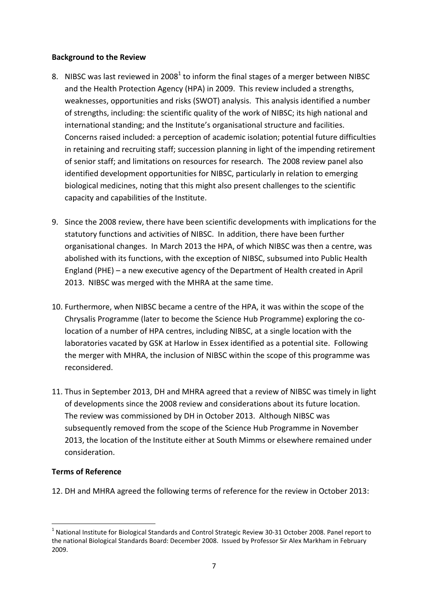## **Background to the Review**

- 8. NIBSC was last reviewed in 2008<sup>1</sup> to inform the final stages of a merger between NIBSC and the Health Protection Agency (HPA) in 2009. This review included a strengths, weaknesses, opportunities and risks (SWOT) analysis. This analysis identified a number of strengths, including: the scientific quality of the work of NIBSC; its high national and international standing; and the Institute's organisational structure and facilities. Concerns raised included: a perception of academic isolation; potential future difficulties in retaining and recruiting staff; succession planning in light of the impending retirement of senior staff; and limitations on resources for research. The 2008 review panel also identified development opportunities for NIBSC, particularly in relation to emerging biological medicines, noting that this might also present challenges to the scientific capacity and capabilities of the Institute.
- 9. Since the 2008 review, there have been scientific developments with implications for the statutory functions and activities of NIBSC. In addition, there have been further organisational changes. In March 2013 the HPA, of which NIBSC was then a centre, was abolished with its functions, with the exception of NIBSC, subsumed into Public Health England (PHE) – a new executive agency of the Department of Health created in April 2013. NIBSC was merged with the MHRA at the same time.
- 10. Furthermore, when NIBSC became a centre of the HPA, it was within the scope of the Chrysalis Programme (later to become the Science Hub Programme) exploring the colocation of a number of HPA centres, including NIBSC, at a single location with the laboratories vacated by GSK at Harlow in Essex identified as a potential site. Following the merger with MHRA, the inclusion of NIBSC within the scope of this programme was reconsidered.
- 11. Thus in September 2013, DH and MHRA agreed that a review of NIBSC was timely in light of developments since the 2008 review and considerations about its future location. The review was commissioned by DH in October 2013. Although NIBSC was subsequently removed from the scope of the Science Hub Programme in November 2013, the location of the Institute either at South Mimms or elsewhere remained under consideration.

# **Terms of Reference**

 $\overline{a}$ 

12. DH and MHRA agreed the following terms of reference for the review in October 2013:

 $^1$  National Institute for Biological Standards and Control Strategic Review 30-31 October 2008. Panel report to the national Biological Standards Board: December 2008. Issued by Professor Sir Alex Markham in February 2009.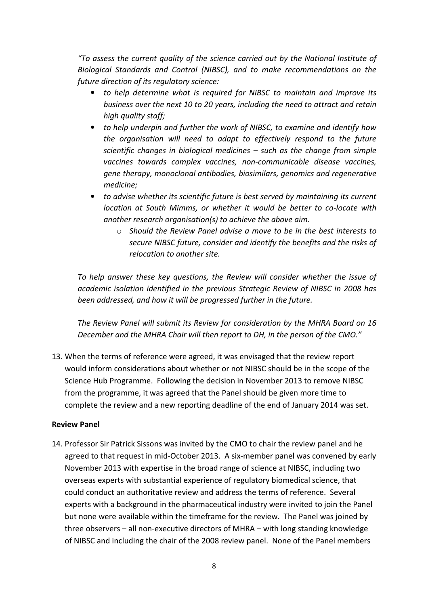*"To assess the current quality of the science carried out by the National Institute of Biological Standards and Control (NIBSC), and to make recommendations on the future direction of its regulatory science:* 

- *to help determine what is required for NIBSC to maintain and improve its business over the next 10 to 20 years, including the need to attract and retain high quality staff;*
- *to help underpin and further the work of NIBSC, to examine and identify how the organisation will need to adapt to effectively respond to the future scientific changes in biological medicines – such as the change from simple vaccines towards complex vaccines, non-communicable disease vaccines, gene therapy, monoclonal antibodies, biosimilars, genomics and regenerative medicine;*
- *to advise whether its scientific future is best served by maintaining its current location at South Mimms, or whether it would be better to co-locate with another research organisation(s) to achieve the above aim.* 
	- o *Should the Review Panel advise a move to be in the best interests to secure NIBSC future, consider and identify the benefits and the risks of relocation to another site.*

*To help answer these key questions, the Review will consider whether the issue of academic isolation identified in the previous Strategic Review of NIBSC in 2008 has been addressed, and how it will be progressed further in the future.* 

*The Review Panel will submit its Review for consideration by the MHRA Board on 16 December and the MHRA Chair will then report to DH, in the person of the CMO."* 

13. When the terms of reference were agreed, it was envisaged that the review report would inform considerations about whether or not NIBSC should be in the scope of the Science Hub Programme. Following the decision in November 2013 to remove NIBSC from the programme, it was agreed that the Panel should be given more time to complete the review and a new reporting deadline of the end of January 2014 was set.

#### **Review Panel**

14. Professor Sir Patrick Sissons was invited by the CMO to chair the review panel and he agreed to that request in mid-October 2013. A six-member panel was convened by early November 2013 with expertise in the broad range of science at NIBSC, including two overseas experts with substantial experience of regulatory biomedical science, that could conduct an authoritative review and address the terms of reference. Several experts with a background in the pharmaceutical industry were invited to join the Panel but none were available within the timeframe for the review. The Panel was joined by three observers – all non-executive directors of MHRA – with long standing knowledge of NIBSC and including the chair of the 2008 review panel. None of the Panel members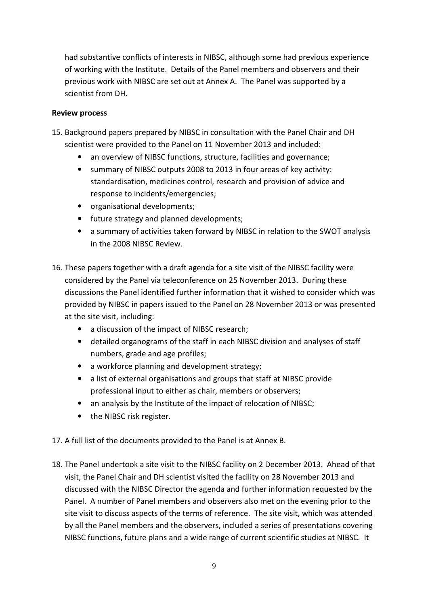had substantive conflicts of interests in NIBSC, although some had previous experience of working with the Institute. Details of the Panel members and observers and their previous work with NIBSC are set out at Annex A. The Panel was supported by a scientist from DH.

# **Review process**

- 15. Background papers prepared by NIBSC in consultation with the Panel Chair and DH scientist were provided to the Panel on 11 November 2013 and included:
	- an overview of NIBSC functions, structure, facilities and governance;
	- summary of NIBSC outputs 2008 to 2013 in four areas of key activity: standardisation, medicines control, research and provision of advice and response to incidents/emergencies;
	- organisational developments;
	- future strategy and planned developments;
	- a summary of activities taken forward by NIBSC in relation to the SWOT analysis in the 2008 NIBSC Review.
- 16. These papers together with a draft agenda for a site visit of the NIBSC facility were considered by the Panel via teleconference on 25 November 2013. During these discussions the Panel identified further information that it wished to consider which was provided by NIBSC in papers issued to the Panel on 28 November 2013 or was presented at the site visit, including:
	- a discussion of the impact of NIBSC research;
	- detailed organograms of the staff in each NIBSC division and analyses of staff numbers, grade and age profiles;
	- a workforce planning and development strategy;
	- a list of external organisations and groups that staff at NIBSC provide professional input to either as chair, members or observers;
	- an analysis by the Institute of the impact of relocation of NIBSC;
	- the NIBSC risk register.
- 17. A full list of the documents provided to the Panel is at Annex B.
- 18. The Panel undertook a site visit to the NIBSC facility on 2 December 2013. Ahead of that visit, the Panel Chair and DH scientist visited the facility on 28 November 2013 and discussed with the NIBSC Director the agenda and further information requested by the Panel. A number of Panel members and observers also met on the evening prior to the site visit to discuss aspects of the terms of reference. The site visit, which was attended by all the Panel members and the observers, included a series of presentations covering NIBSC functions, future plans and a wide range of current scientific studies at NIBSC. It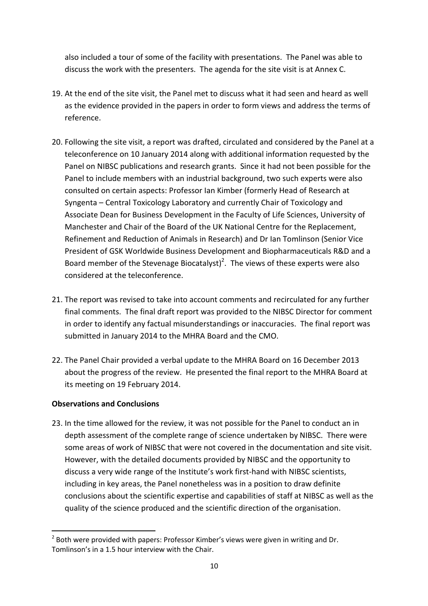also included a tour of some of the facility with presentations. The Panel was able to discuss the work with the presenters. The agenda for the site visit is at Annex C.

- 19. At the end of the site visit, the Panel met to discuss what it had seen and heard as well as the evidence provided in the papers in order to form views and address the terms of reference.
- 20. Following the site visit, a report was drafted, circulated and considered by the Panel at a teleconference on 10 January 2014 along with additional information requested by the Panel on NIBSC publications and research grants. Since it had not been possible for the Panel to include members with an industrial background, two such experts were also consulted on certain aspects: Professor Ian Kimber (formerly Head of Research at Syngenta – Central Toxicology Laboratory and currently Chair of Toxicology and Associate Dean for Business Development in the Faculty of Life Sciences, University of Manchester and Chair of the Board of the UK National Centre for the Replacement, Refinement and Reduction of Animals in Research) and Dr Ian Tomlinson (Senior Vice President of GSK Worldwide Business Development and Biopharmaceuticals R&D and a Board member of the Stevenage Biocatalyst)<sup>2</sup>. The views of these experts were also considered at the teleconference.
- 21. The report was revised to take into account comments and recirculated for any further final comments. The final draft report was provided to the NIBSC Director for comment in order to identify any factual misunderstandings or inaccuracies. The final report was submitted in January 2014 to the MHRA Board and the CMO.
- 22. The Panel Chair provided a verbal update to the MHRA Board on 16 December 2013 about the progress of the review. He presented the final report to the MHRA Board at its meeting on 19 February 2014.

# **Observations and Conclusions**

 $\overline{a}$ 

23. In the time allowed for the review, it was not possible for the Panel to conduct an in depth assessment of the complete range of science undertaken by NIBSC. There were some areas of work of NIBSC that were not covered in the documentation and site visit. However, with the detailed documents provided by NIBSC and the opportunity to discuss a very wide range of the Institute's work first-hand with NIBSC scientists, including in key areas, the Panel nonetheless was in a position to draw definite conclusions about the scientific expertise and capabilities of staff at NIBSC as well as the quality of the science produced and the scientific direction of the organisation.

 $2$  Both were provided with papers: Professor Kimber's views were given in writing and Dr. Tomlinson's in a 1.5 hour interview with the Chair.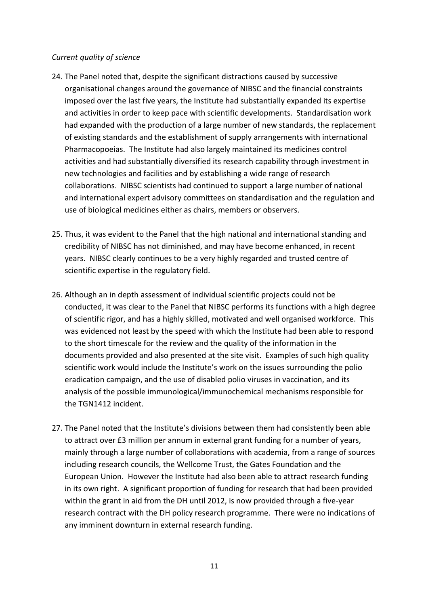### *Current quality of science*

- 24. The Panel noted that, despite the significant distractions caused by successive organisational changes around the governance of NIBSC and the financial constraints imposed over the last five years, the Institute had substantially expanded its expertise and activities in order to keep pace with scientific developments. Standardisation work had expanded with the production of a large number of new standards, the replacement of existing standards and the establishment of supply arrangements with international Pharmacopoeias. The Institute had also largely maintained its medicines control activities and had substantially diversified its research capability through investment in new technologies and facilities and by establishing a wide range of research collaborations. NIBSC scientists had continued to support a large number of national and international expert advisory committees on standardisation and the regulation and use of biological medicines either as chairs, members or observers.
- 25. Thus, it was evident to the Panel that the high national and international standing and credibility of NIBSC has not diminished, and may have become enhanced, in recent years. NIBSC clearly continues to be a very highly regarded and trusted centre of scientific expertise in the regulatory field.
- 26. Although an in depth assessment of individual scientific projects could not be conducted, it was clear to the Panel that NIBSC performs its functions with a high degree of scientific rigor, and has a highly skilled, motivated and well organised workforce. This was evidenced not least by the speed with which the Institute had been able to respond to the short timescale for the review and the quality of the information in the documents provided and also presented at the site visit. Examples of such high quality scientific work would include the Institute's work on the issues surrounding the polio eradication campaign, and the use of disabled polio viruses in vaccination, and its analysis of the possible immunological/immunochemical mechanisms responsible for the TGN1412 incident.
- 27. The Panel noted that the Institute's divisions between them had consistently been able to attract over £3 million per annum in external grant funding for a number of years, mainly through a large number of collaborations with academia, from a range of sources including research councils, the Wellcome Trust, the Gates Foundation and the European Union. However the Institute had also been able to attract research funding in its own right. A significant proportion of funding for research that had been provided within the grant in aid from the DH until 2012, is now provided through a five-year research contract with the DH policy research programme. There were no indications of any imminent downturn in external research funding.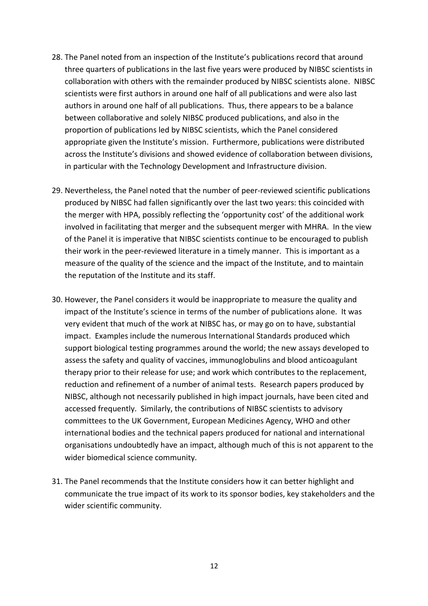- 28. The Panel noted from an inspection of the Institute's publications record that around three quarters of publications in the last five years were produced by NIBSC scientists in collaboration with others with the remainder produced by NIBSC scientists alone. NIBSC scientists were first authors in around one half of all publications and were also last authors in around one half of all publications. Thus, there appears to be a balance between collaborative and solely NIBSC produced publications, and also in the proportion of publications led by NIBSC scientists, which the Panel considered appropriate given the Institute's mission. Furthermore, publications were distributed across the Institute's divisions and showed evidence of collaboration between divisions, in particular with the Technology Development and Infrastructure division.
- 29. Nevertheless, the Panel noted that the number of peer-reviewed scientific publications produced by NIBSC had fallen significantly over the last two years: this coincided with the merger with HPA, possibly reflecting the 'opportunity cost' of the additional work involved in facilitating that merger and the subsequent merger with MHRA. In the view of the Panel it is imperative that NIBSC scientists continue to be encouraged to publish their work in the peer-reviewed literature in a timely manner. This is important as a measure of the quality of the science and the impact of the Institute, and to maintain the reputation of the Institute and its staff.
- 30. However, the Panel considers it would be inappropriate to measure the quality and impact of the Institute's science in terms of the number of publications alone. It was very evident that much of the work at NIBSC has, or may go on to have, substantial impact. Examples include the numerous International Standards produced which support biological testing programmes around the world; the new assays developed to assess the safety and quality of vaccines, immunoglobulins and blood anticoagulant therapy prior to their release for use; and work which contributes to the replacement, reduction and refinement of a number of animal tests. Research papers produced by NIBSC, although not necessarily published in high impact journals, have been cited and accessed frequently. Similarly, the contributions of NIBSC scientists to advisory committees to the UK Government, European Medicines Agency, WHO and other international bodies and the technical papers produced for national and international organisations undoubtedly have an impact, although much of this is not apparent to the wider biomedical science community.
- 31. The Panel recommends that the Institute considers how it can better highlight and communicate the true impact of its work to its sponsor bodies, key stakeholders and the wider scientific community.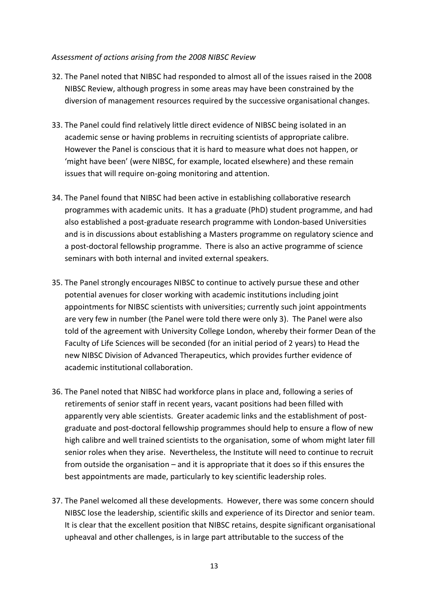#### *Assessment of actions arising from the 2008 NIBSC Review*

- 32. The Panel noted that NIBSC had responded to almost all of the issues raised in the 2008 NIBSC Review, although progress in some areas may have been constrained by the diversion of management resources required by the successive organisational changes.
- 33. The Panel could find relatively little direct evidence of NIBSC being isolated in an academic sense or having problems in recruiting scientists of appropriate calibre. However the Panel is conscious that it is hard to measure what does not happen, or 'might have been' (were NIBSC, for example, located elsewhere) and these remain issues that will require on-going monitoring and attention.
- 34. The Panel found that NIBSC had been active in establishing collaborative research programmes with academic units. It has a graduate (PhD) student programme, and had also established a post-graduate research programme with London-based Universities and is in discussions about establishing a Masters programme on regulatory science and a post-doctoral fellowship programme. There is also an active programme of science seminars with both internal and invited external speakers.
- 35. The Panel strongly encourages NIBSC to continue to actively pursue these and other potential avenues for closer working with academic institutions including joint appointments for NIBSC scientists with universities; currently such joint appointments are very few in number (the Panel were told there were only 3). The Panel were also told of the agreement with University College London, whereby their former Dean of the Faculty of Life Sciences will be seconded (for an initial period of 2 years) to Head the new NIBSC Division of Advanced Therapeutics, which provides further evidence of academic institutional collaboration.
- 36. The Panel noted that NIBSC had workforce plans in place and, following a series of retirements of senior staff in recent years, vacant positions had been filled with apparently very able scientists. Greater academic links and the establishment of postgraduate and post-doctoral fellowship programmes should help to ensure a flow of new high calibre and well trained scientists to the organisation, some of whom might later fill senior roles when they arise. Nevertheless, the Institute will need to continue to recruit from outside the organisation – and it is appropriate that it does so if this ensures the best appointments are made, particularly to key scientific leadership roles.
- 37. The Panel welcomed all these developments. However, there was some concern should NIBSC lose the leadership, scientific skills and experience of its Director and senior team. It is clear that the excellent position that NIBSC retains, despite significant organisational upheaval and other challenges, is in large part attributable to the success of the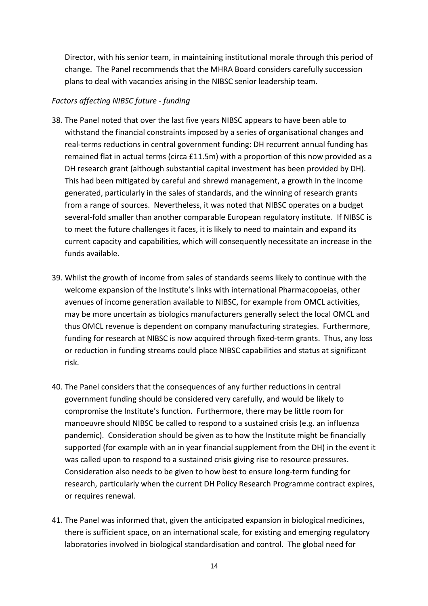Director, with his senior team, in maintaining institutional morale through this period of change. The Panel recommends that the MHRA Board considers carefully succession plans to deal with vacancies arising in the NIBSC senior leadership team.

#### *Factors affecting NIBSC future - funding*

- 38. The Panel noted that over the last five years NIBSC appears to have been able to withstand the financial constraints imposed by a series of organisational changes and real-terms reductions in central government funding: DH recurrent annual funding has remained flat in actual terms (circa £11.5m) with a proportion of this now provided as a DH research grant (although substantial capital investment has been provided by DH). This had been mitigated by careful and shrewd management, a growth in the income generated, particularly in the sales of standards, and the winning of research grants from a range of sources. Nevertheless, it was noted that NIBSC operates on a budget several-fold smaller than another comparable European regulatory institute. If NIBSC is to meet the future challenges it faces, it is likely to need to maintain and expand its current capacity and capabilities, which will consequently necessitate an increase in the funds available.
- 39. Whilst the growth of income from sales of standards seems likely to continue with the welcome expansion of the Institute's links with international Pharmacopoeias, other avenues of income generation available to NIBSC, for example from OMCL activities, may be more uncertain as biologics manufacturers generally select the local OMCL and thus OMCL revenue is dependent on company manufacturing strategies. Furthermore, funding for research at NIBSC is now acquired through fixed-term grants. Thus, any loss or reduction in funding streams could place NIBSC capabilities and status at significant risk.
- 40. The Panel considers that the consequences of any further reductions in central government funding should be considered very carefully, and would be likely to compromise the Institute's function. Furthermore, there may be little room for manoeuvre should NIBSC be called to respond to a sustained crisis (e.g. an influenza pandemic). Consideration should be given as to how the Institute might be financially supported (for example with an in year financial supplement from the DH) in the event it was called upon to respond to a sustained crisis giving rise to resource pressures. Consideration also needs to be given to how best to ensure long-term funding for research, particularly when the current DH Policy Research Programme contract expires, or requires renewal.
- 41. The Panel was informed that, given the anticipated expansion in biological medicines, there is sufficient space, on an international scale, for existing and emerging regulatory laboratories involved in biological standardisation and control. The global need for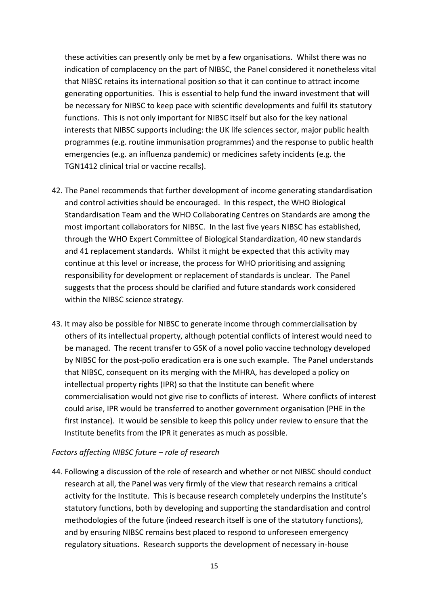these activities can presently only be met by a few organisations. Whilst there was no indication of complacency on the part of NIBSC, the Panel considered it nonetheless vital that NIBSC retains its international position so that it can continue to attract income generating opportunities. This is essential to help fund the inward investment that will be necessary for NIBSC to keep pace with scientific developments and fulfil its statutory functions. This is not only important for NIBSC itself but also for the key national interests that NIBSC supports including: the UK life sciences sector, major public health programmes (e.g. routine immunisation programmes) and the response to public health emergencies (e.g. an influenza pandemic) or medicines safety incidents (e.g. the TGN1412 clinical trial or vaccine recalls).

- 42. The Panel recommends that further development of income generating standardisation and control activities should be encouraged. In this respect, the WHO Biological Standardisation Team and the WHO Collaborating Centres on Standards are among the most important collaborators for NIBSC. In the last five years NIBSC has established, through the WHO Expert Committee of Biological Standardization, 40 new standards and 41 replacement standards. Whilst it might be expected that this activity may continue at this level or increase, the process for WHO prioritising and assigning responsibility for development or replacement of standards is unclear. The Panel suggests that the process should be clarified and future standards work considered within the NIBSC science strategy.
- 43. It may also be possible for NIBSC to generate income through commercialisation by others of its intellectual property, although potential conflicts of interest would need to be managed. The recent transfer to GSK of a novel polio vaccine technology developed by NIBSC for the post-polio eradication era is one such example. The Panel understands that NIBSC, consequent on its merging with the MHRA, has developed a policy on intellectual property rights (IPR) so that the Institute can benefit where commercialisation would not give rise to conflicts of interest. Where conflicts of interest could arise, IPR would be transferred to another government organisation (PHE in the first instance). It would be sensible to keep this policy under review to ensure that the Institute benefits from the IPR it generates as much as possible.

# *Factors affecting NIBSC future – role of research*

44. Following a discussion of the role of research and whether or not NIBSC should conduct research at all, the Panel was very firmly of the view that research remains a critical activity for the Institute. This is because research completely underpins the Institute's statutory functions, both by developing and supporting the standardisation and control methodologies of the future (indeed research itself is one of the statutory functions), and by ensuring NIBSC remains best placed to respond to unforeseen emergency regulatory situations. Research supports the development of necessary in-house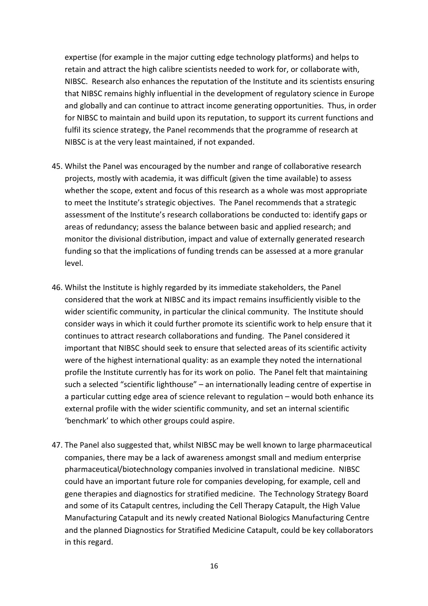expertise (for example in the major cutting edge technology platforms) and helps to retain and attract the high calibre scientists needed to work for, or collaborate with, NIBSC. Research also enhances the reputation of the Institute and its scientists ensuring that NIBSC remains highly influential in the development of regulatory science in Europe and globally and can continue to attract income generating opportunities. Thus, in order for NIBSC to maintain and build upon its reputation, to support its current functions and fulfil its science strategy, the Panel recommends that the programme of research at NIBSC is at the very least maintained, if not expanded.

- 45. Whilst the Panel was encouraged by the number and range of collaborative research projects, mostly with academia, it was difficult (given the time available) to assess whether the scope, extent and focus of this research as a whole was most appropriate to meet the Institute's strategic objectives. The Panel recommends that a strategic assessment of the Institute's research collaborations be conducted to: identify gaps or areas of redundancy; assess the balance between basic and applied research; and monitor the divisional distribution, impact and value of externally generated research funding so that the implications of funding trends can be assessed at a more granular level.
- 46. Whilst the Institute is highly regarded by its immediate stakeholders, the Panel considered that the work at NIBSC and its impact remains insufficiently visible to the wider scientific community, in particular the clinical community. The Institute should consider ways in which it could further promote its scientific work to help ensure that it continues to attract research collaborations and funding. The Panel considered it important that NIBSC should seek to ensure that selected areas of its scientific activity were of the highest international quality: as an example they noted the international profile the Institute currently has for its work on polio. The Panel felt that maintaining such a selected "scientific lighthouse" – an internationally leading centre of expertise in a particular cutting edge area of science relevant to regulation – would both enhance its external profile with the wider scientific community, and set an internal scientific 'benchmark' to which other groups could aspire.
- 47. The Panel also suggested that, whilst NIBSC may be well known to large pharmaceutical companies, there may be a lack of awareness amongst small and medium enterprise pharmaceutical/biotechnology companies involved in translational medicine. NIBSC could have an important future role for companies developing, for example, cell and gene therapies and diagnostics for stratified medicine. The Technology Strategy Board and some of its Catapult centres, including the Cell Therapy Catapult, the High Value Manufacturing Catapult and its newly created National Biologics Manufacturing Centre and the planned Diagnostics for Stratified Medicine Catapult, could be key collaborators in this regard.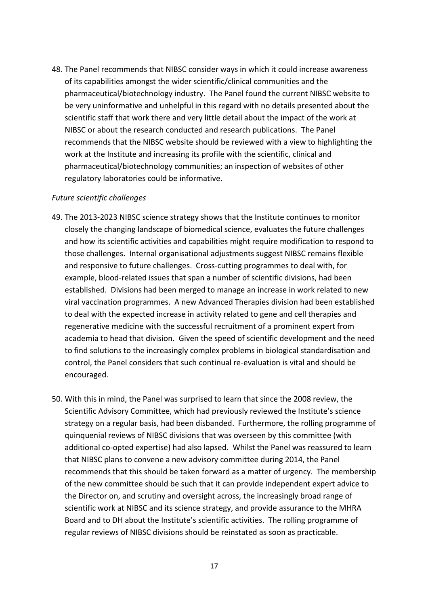48. The Panel recommends that NIBSC consider ways in which it could increase awareness of its capabilities amongst the wider scientific/clinical communities and the pharmaceutical/biotechnology industry. The Panel found the current NIBSC website to be very uninformative and unhelpful in this regard with no details presented about the scientific staff that work there and very little detail about the impact of the work at NIBSC or about the research conducted and research publications. The Panel recommends that the NIBSC website should be reviewed with a view to highlighting the work at the Institute and increasing its profile with the scientific, clinical and pharmaceutical/biotechnology communities; an inspection of websites of other regulatory laboratories could be informative.

#### *Future scientific challenges*

- 49. The 2013-2023 NIBSC science strategy shows that the Institute continues to monitor closely the changing landscape of biomedical science, evaluates the future challenges and how its scientific activities and capabilities might require modification to respond to those challenges. Internal organisational adjustments suggest NIBSC remains flexible and responsive to future challenges. Cross-cutting programmes to deal with, for example, blood-related issues that span a number of scientific divisions, had been established. Divisions had been merged to manage an increase in work related to new viral vaccination programmes. A new Advanced Therapies division had been established to deal with the expected increase in activity related to gene and cell therapies and regenerative medicine with the successful recruitment of a prominent expert from academia to head that division. Given the speed of scientific development and the need to find solutions to the increasingly complex problems in biological standardisation and control, the Panel considers that such continual re-evaluation is vital and should be encouraged.
- 50. With this in mind, the Panel was surprised to learn that since the 2008 review, the Scientific Advisory Committee, which had previously reviewed the Institute's science strategy on a regular basis, had been disbanded. Furthermore, the rolling programme of quinquenial reviews of NIBSC divisions that was overseen by this committee (with additional co-opted expertise) had also lapsed. Whilst the Panel was reassured to learn that NIBSC plans to convene a new advisory committee during 2014, the Panel recommends that this should be taken forward as a matter of urgency. The membership of the new committee should be such that it can provide independent expert advice to the Director on, and scrutiny and oversight across, the increasingly broad range of scientific work at NIBSC and its science strategy, and provide assurance to the MHRA Board and to DH about the Institute's scientific activities. The rolling programme of regular reviews of NIBSC divisions should be reinstated as soon as practicable.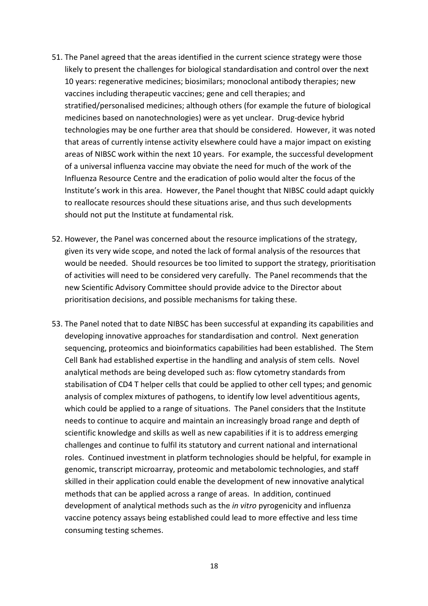- 51. The Panel agreed that the areas identified in the current science strategy were those likely to present the challenges for biological standardisation and control over the next 10 years: regenerative medicines; biosimilars; monoclonal antibody therapies; new vaccines including therapeutic vaccines; gene and cell therapies; and stratified/personalised medicines; although others (for example the future of biological medicines based on nanotechnologies) were as yet unclear. Drug-device hybrid technologies may be one further area that should be considered. However, it was noted that areas of currently intense activity elsewhere could have a major impact on existing areas of NIBSC work within the next 10 years. For example, the successful development of a universal influenza vaccine may obviate the need for much of the work of the Influenza Resource Centre and the eradication of polio would alter the focus of the Institute's work in this area. However, the Panel thought that NIBSC could adapt quickly to reallocate resources should these situations arise, and thus such developments should not put the Institute at fundamental risk.
- 52. However, the Panel was concerned about the resource implications of the strategy, given its very wide scope, and noted the lack of formal analysis of the resources that would be needed. Should resources be too limited to support the strategy, prioritisation of activities will need to be considered very carefully. The Panel recommends that the new Scientific Advisory Committee should provide advice to the Director about prioritisation decisions, and possible mechanisms for taking these.
- 53. The Panel noted that to date NIBSC has been successful at expanding its capabilities and developing innovative approaches for standardisation and control. Next generation sequencing, proteomics and bioinformatics capabilities had been established. The Stem Cell Bank had established expertise in the handling and analysis of stem cells. Novel analytical methods are being developed such as: flow cytometry standards from stabilisation of CD4 T helper cells that could be applied to other cell types; and genomic analysis of complex mixtures of pathogens, to identify low level adventitious agents, which could be applied to a range of situations. The Panel considers that the Institute needs to continue to acquire and maintain an increasingly broad range and depth of scientific knowledge and skills as well as new capabilities if it is to address emerging challenges and continue to fulfil its statutory and current national and international roles. Continued investment in platform technologies should be helpful, for example in genomic, transcript microarray, proteomic and metabolomic technologies, and staff skilled in their application could enable the development of new innovative analytical methods that can be applied across a range of areas. In addition, continued development of analytical methods such as the *in vitro* pyrogenicity and influenza vaccine potency assays being established could lead to more effective and less time consuming testing schemes.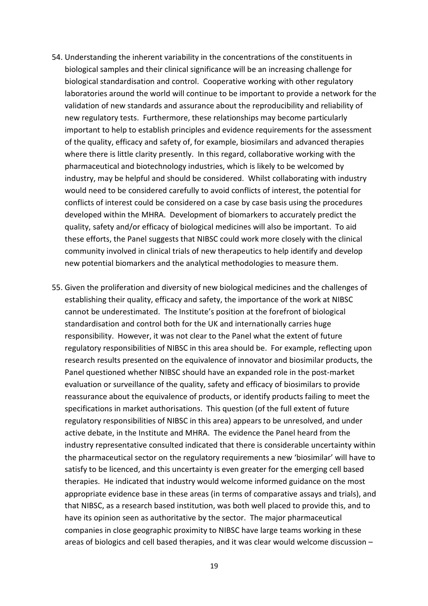- 54. Understanding the inherent variability in the concentrations of the constituents in biological samples and their clinical significance will be an increasing challenge for biological standardisation and control. Cooperative working with other regulatory laboratories around the world will continue to be important to provide a network for the validation of new standards and assurance about the reproducibility and reliability of new regulatory tests. Furthermore, these relationships may become particularly important to help to establish principles and evidence requirements for the assessment of the quality, efficacy and safety of, for example, biosimilars and advanced therapies where there is little clarity presently. In this regard, collaborative working with the pharmaceutical and biotechnology industries, which is likely to be welcomed by industry, may be helpful and should be considered. Whilst collaborating with industry would need to be considered carefully to avoid conflicts of interest, the potential for conflicts of interest could be considered on a case by case basis using the procedures developed within the MHRA. Development of biomarkers to accurately predict the quality, safety and/or efficacy of biological medicines will also be important. To aid these efforts, the Panel suggests that NIBSC could work more closely with the clinical community involved in clinical trials of new therapeutics to help identify and develop new potential biomarkers and the analytical methodologies to measure them.
- 55. Given the proliferation and diversity of new biological medicines and the challenges of establishing their quality, efficacy and safety, the importance of the work at NIBSC cannot be underestimated. The Institute's position at the forefront of biological standardisation and control both for the UK and internationally carries huge responsibility. However, it was not clear to the Panel what the extent of future regulatory responsibilities of NIBSC in this area should be. For example, reflecting upon research results presented on the equivalence of innovator and biosimilar products, the Panel questioned whether NIBSC should have an expanded role in the post-market evaluation or surveillance of the quality, safety and efficacy of biosimilars to provide reassurance about the equivalence of products, or identify products failing to meet the specifications in market authorisations. This question (of the full extent of future regulatory responsibilities of NIBSC in this area) appears to be unresolved, and under active debate, in the Institute and MHRA. The evidence the Panel heard from the industry representative consulted indicated that there is considerable uncertainty within the pharmaceutical sector on the regulatory requirements a new 'biosimilar' will have to satisfy to be licenced, and this uncertainty is even greater for the emerging cell based therapies. He indicated that industry would welcome informed guidance on the most appropriate evidence base in these areas (in terms of comparative assays and trials), and that NIBSC, as a research based institution, was both well placed to provide this, and to have its opinion seen as authoritative by the sector. The major pharmaceutical companies in close geographic proximity to NIBSC have large teams working in these areas of biologics and cell based therapies, and it was clear would welcome discussion –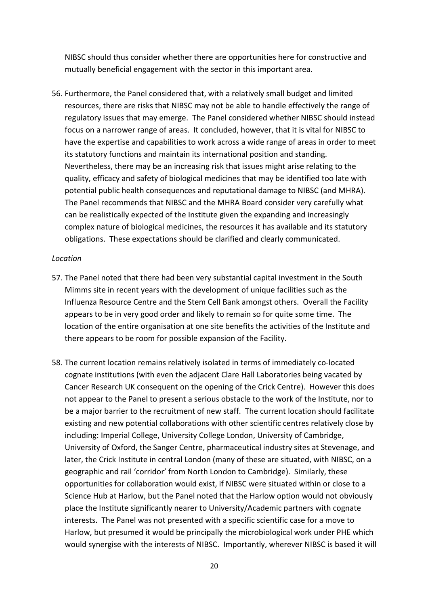NIBSC should thus consider whether there are opportunities here for constructive and mutually beneficial engagement with the sector in this important area.

56. Furthermore, the Panel considered that, with a relatively small budget and limited resources, there are risks that NIBSC may not be able to handle effectively the range of regulatory issues that may emerge. The Panel considered whether NIBSC should instead focus on a narrower range of areas. It concluded, however, that it is vital for NIBSC to have the expertise and capabilities to work across a wide range of areas in order to meet its statutory functions and maintain its international position and standing. Nevertheless, there may be an increasing risk that issues might arise relating to the quality, efficacy and safety of biological medicines that may be identified too late with potential public health consequences and reputational damage to NIBSC (and MHRA). The Panel recommends that NIBSC and the MHRA Board consider very carefully what can be realistically expected of the Institute given the expanding and increasingly complex nature of biological medicines, the resources it has available and its statutory obligations. These expectations should be clarified and clearly communicated.

#### *Location*

- 57. The Panel noted that there had been very substantial capital investment in the South Mimms site in recent years with the development of unique facilities such as the Influenza Resource Centre and the Stem Cell Bank amongst others. Overall the Facility appears to be in very good order and likely to remain so for quite some time. The location of the entire organisation at one site benefits the activities of the Institute and there appears to be room for possible expansion of the Facility.
- 58. The current location remains relatively isolated in terms of immediately co-located cognate institutions (with even the adjacent Clare Hall Laboratories being vacated by Cancer Research UK consequent on the opening of the Crick Centre). However this does not appear to the Panel to present a serious obstacle to the work of the Institute, nor to be a major barrier to the recruitment of new staff. The current location should facilitate existing and new potential collaborations with other scientific centres relatively close by including: Imperial College, University College London, University of Cambridge, University of Oxford, the Sanger Centre, pharmaceutical industry sites at Stevenage, and later, the Crick Institute in central London (many of these are situated, with NIBSC, on a geographic and rail 'corridor' from North London to Cambridge). Similarly, these opportunities for collaboration would exist, if NIBSC were situated within or close to a Science Hub at Harlow, but the Panel noted that the Harlow option would not obviously place the Institute significantly nearer to University/Academic partners with cognate interests. The Panel was not presented with a specific scientific case for a move to Harlow, but presumed it would be principally the microbiological work under PHE which would synergise with the interests of NIBSC. Importantly, wherever NIBSC is based it will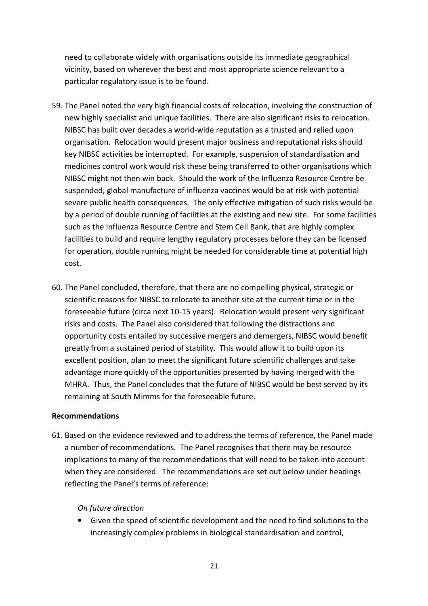need to collaborate widely with organisations outside its immediate geographical vicinity, based on wherever the best and most appropriate science relevant to a particular regulatory issue is to be found.

- 59. The Panel noted the very high financial costs of relocation, involving the construction of new highly specialist and unique facilities. There are also significant risks to relocation. NIBSC has built over decades a world-wide reputation as a trusted and relied upon organisation. Relocation would present major business and reputational risks should key NIBSC activities be interrupted. For example, suspension of standardisation and medicines control work would risk these being transferred to other organisations which NIBSC might not then win back. Should the work of the Influenza Resource Centre be suspended, global manufacture of influenza vaccines would be at risk with potential severe public health consequences. The only effective mitigation of such risks would be by a period of double running of facilities at the existing and new site. For some facilities such as the Influenza Resource Centre and Stem Cell Bank, that are highly complex facilities to build and require lengthy regulatory processes before they can be licensed for operation, double running might be needed for considerable time at potential high cost.
- 60. The Panel concluded, therefore, that there are no compelling physical, strategic or scientific reasons for NIBSC to relocate to another site at the current time or in the foreseeable future (circa next 10-15 years). Relocation would present very significant risks and costs. The Panel also considered that following the distractions and opportunity costs entailed by successive mergers and demergers, NIBSC would benefit greatly from a sustained period of stability. This would allow it to build upon its excellent position, plan to meet the significant future scientific challenges and take advantage more quickly of the opportunities presented by having merged with the MHRA. Thus, the Panel concludes that the future of NIBSC would be best served by its remaining at South Mimms for the foreseeable future.

#### **Recommendations**

61. Based on the evidence reviewed and to address the terms of reference, the Panel made a number of recommendations. The Panel recognises that there may be resource implications to many of the recommendations that will need to be taken into account when they are considered. The recommendations are set out below under headings reflecting the Panel's terms of reference:

# *On future direction*

• Given the speed of scientific development and the need to find solutions to the increasingly complex problems in biological standardisation and control,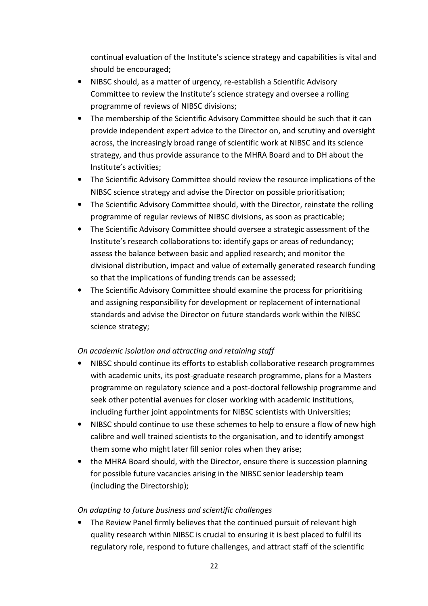continual evaluation of the Institute's science strategy and capabilities is vital and should be encouraged;

- NIBSC should, as a matter of urgency, re-establish a Scientific Advisory Committee to review the Institute's science strategy and oversee a rolling programme of reviews of NIBSC divisions;
- The membership of the Scientific Advisory Committee should be such that it can provide independent expert advice to the Director on, and scrutiny and oversight across, the increasingly broad range of scientific work at NIBSC and its science strategy, and thus provide assurance to the MHRA Board and to DH about the Institute's activities;
- The Scientific Advisory Committee should review the resource implications of the NIBSC science strategy and advise the Director on possible prioritisation;
- The Scientific Advisory Committee should, with the Director, reinstate the rolling programme of regular reviews of NIBSC divisions, as soon as practicable;
- The Scientific Advisory Committee should oversee a strategic assessment of the Institute's research collaborations to: identify gaps or areas of redundancy; assess the balance between basic and applied research; and monitor the divisional distribution, impact and value of externally generated research funding so that the implications of funding trends can be assessed;
- The Scientific Advisory Committee should examine the process for prioritising and assigning responsibility for development or replacement of international standards and advise the Director on future standards work within the NIBSC science strategy;

# *On academic isolation and attracting and retaining staff*

- NIBSC should continue its efforts to establish collaborative research programmes with academic units, its post-graduate research programme, plans for a Masters programme on regulatory science and a post-doctoral fellowship programme and seek other potential avenues for closer working with academic institutions, including further joint appointments for NIBSC scientists with Universities;
- NIBSC should continue to use these schemes to help to ensure a flow of new high calibre and well trained scientists to the organisation, and to identify amongst them some who might later fill senior roles when they arise;
- the MHRA Board should, with the Director, ensure there is succession planning for possible future vacancies arising in the NIBSC senior leadership team (including the Directorship);

# *On adapting to future business and scientific challenges*

• The Review Panel firmly believes that the continued pursuit of relevant high quality research within NIBSC is crucial to ensuring it is best placed to fulfil its regulatory role, respond to future challenges, and attract staff of the scientific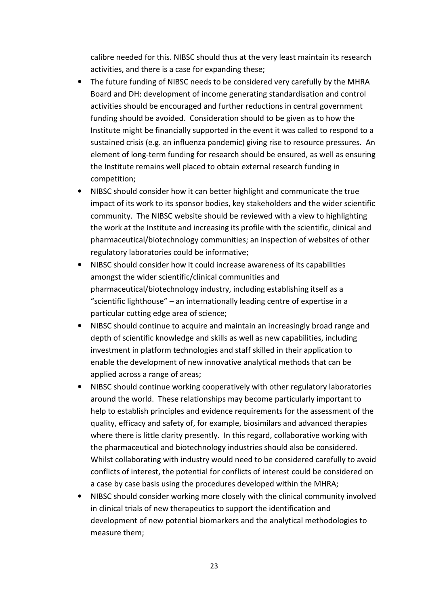calibre needed for this. NIBSC should thus at the very least maintain its research activities, and there is a case for expanding these;

- The future funding of NIBSC needs to be considered very carefully by the MHRA Board and DH: development of income generating standardisation and control activities should be encouraged and further reductions in central government funding should be avoided. Consideration should to be given as to how the Institute might be financially supported in the event it was called to respond to a sustained crisis (e.g. an influenza pandemic) giving rise to resource pressures. An element of long-term funding for research should be ensured, as well as ensuring the Institute remains well placed to obtain external research funding in competition;
- NIBSC should consider how it can better highlight and communicate the true impact of its work to its sponsor bodies, key stakeholders and the wider scientific community. The NIBSC website should be reviewed with a view to highlighting the work at the Institute and increasing its profile with the scientific, clinical and pharmaceutical/biotechnology communities; an inspection of websites of other regulatory laboratories could be informative;
- NIBSC should consider how it could increase awareness of its capabilities amongst the wider scientific/clinical communities and pharmaceutical/biotechnology industry, including establishing itself as a "scientific lighthouse" – an internationally leading centre of expertise in a particular cutting edge area of science;
- NIBSC should continue to acquire and maintain an increasingly broad range and depth of scientific knowledge and skills as well as new capabilities, including investment in platform technologies and staff skilled in their application to enable the development of new innovative analytical methods that can be applied across a range of areas;
- NIBSC should continue working cooperatively with other regulatory laboratories around the world. These relationships may become particularly important to help to establish principles and evidence requirements for the assessment of the quality, efficacy and safety of, for example, biosimilars and advanced therapies where there is little clarity presently. In this regard, collaborative working with the pharmaceutical and biotechnology industries should also be considered. Whilst collaborating with industry would need to be considered carefully to avoid conflicts of interest, the potential for conflicts of interest could be considered on a case by case basis using the procedures developed within the MHRA;
- NIBSC should consider working more closely with the clinical community involved in clinical trials of new therapeutics to support the identification and development of new potential biomarkers and the analytical methodologies to measure them;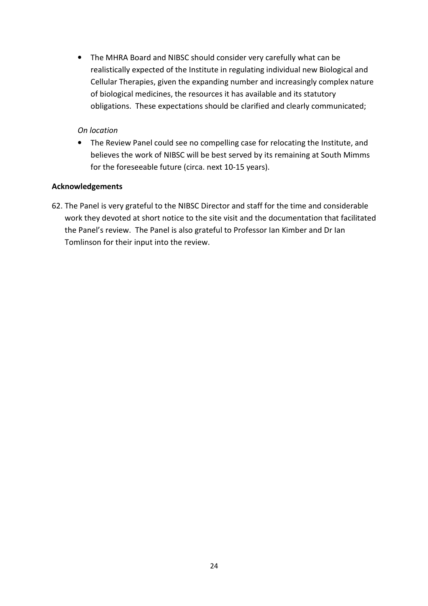• The MHRA Board and NIBSC should consider very carefully what can be realistically expected of the Institute in regulating individual new Biological and Cellular Therapies, given the expanding number and increasingly complex nature of biological medicines, the resources it has available and its statutory obligations. These expectations should be clarified and clearly communicated;

## *On location*

• The Review Panel could see no compelling case for relocating the Institute, and believes the work of NIBSC will be best served by its remaining at South Mimms for the foreseeable future (circa. next 10-15 years).

### **Acknowledgements**

62. The Panel is very grateful to the NIBSC Director and staff for the time and considerable work they devoted at short notice to the site visit and the documentation that facilitated the Panel's review. The Panel is also grateful to Professor Ian Kimber and Dr Ian Tomlinson for their input into the review.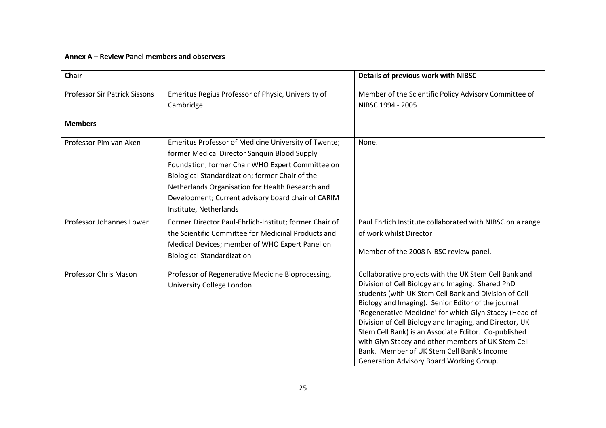#### **Annex A – Review Panel members and observers**

| Chair                                |                                                                                                                                                                                                                                                                                                                                                 | Details of previous work with NIBSC                                                                                                                                                                                                                                                                                                                                                                                                                                                                                                                  |  |  |
|--------------------------------------|-------------------------------------------------------------------------------------------------------------------------------------------------------------------------------------------------------------------------------------------------------------------------------------------------------------------------------------------------|------------------------------------------------------------------------------------------------------------------------------------------------------------------------------------------------------------------------------------------------------------------------------------------------------------------------------------------------------------------------------------------------------------------------------------------------------------------------------------------------------------------------------------------------------|--|--|
| <b>Professor Sir Patrick Sissons</b> | Emeritus Regius Professor of Physic, University of<br>Cambridge                                                                                                                                                                                                                                                                                 | Member of the Scientific Policy Advisory Committee of<br>NIBSC 1994 - 2005                                                                                                                                                                                                                                                                                                                                                                                                                                                                           |  |  |
| <b>Members</b>                       |                                                                                                                                                                                                                                                                                                                                                 |                                                                                                                                                                                                                                                                                                                                                                                                                                                                                                                                                      |  |  |
| Professor Pim van Aken               | Emeritus Professor of Medicine University of Twente;<br>former Medical Director Sanquin Blood Supply<br>Foundation; former Chair WHO Expert Committee on<br>Biological Standardization; former Chair of the<br>Netherlands Organisation for Health Research and<br>Development; Current advisory board chair of CARIM<br>Institute, Netherlands | None.                                                                                                                                                                                                                                                                                                                                                                                                                                                                                                                                                |  |  |
| Professor Johannes Lower             | Former Director Paul-Ehrlich-Institut; former Chair of<br>the Scientific Committee for Medicinal Products and<br>Medical Devices; member of WHO Expert Panel on<br><b>Biological Standardization</b>                                                                                                                                            | Paul Ehrlich Institute collaborated with NIBSC on a range<br>of work whilst Director.<br>Member of the 2008 NIBSC review panel.                                                                                                                                                                                                                                                                                                                                                                                                                      |  |  |
| Professor Chris Mason                | Professor of Regenerative Medicine Bioprocessing,<br>University College London                                                                                                                                                                                                                                                                  | Collaborative projects with the UK Stem Cell Bank and<br>Division of Cell Biology and Imaging. Shared PhD<br>students (with UK Stem Cell Bank and Division of Cell<br>Biology and Imaging). Senior Editor of the journal<br>'Regenerative Medicine' for which Glyn Stacey (Head of<br>Division of Cell Biology and Imaging, and Director, UK<br>Stem Cell Bank) is an Associate Editor. Co-published<br>with Glyn Stacey and other members of UK Stem Cell<br>Bank. Member of UK Stem Cell Bank's Income<br>Generation Advisory Board Working Group. |  |  |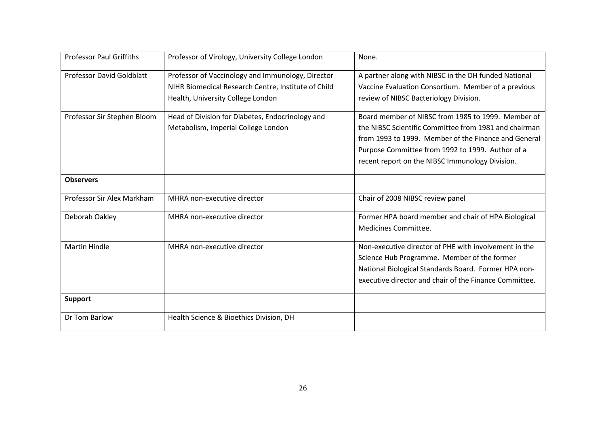| <b>Professor Paul Griffiths</b> | Professor of Virology, University College London                                                                                              | None.                                                                                                                                                                                                                                                                      |
|---------------------------------|-----------------------------------------------------------------------------------------------------------------------------------------------|----------------------------------------------------------------------------------------------------------------------------------------------------------------------------------------------------------------------------------------------------------------------------|
| Professor David Goldblatt       | Professor of Vaccinology and Immunology, Director<br>NIHR Biomedical Research Centre, Institute of Child<br>Health, University College London | A partner along with NIBSC in the DH funded National<br>Vaccine Evaluation Consortium. Member of a previous<br>review of NIBSC Bacteriology Division.                                                                                                                      |
| Professor Sir Stephen Bloom     | Head of Division for Diabetes, Endocrinology and<br>Metabolism, Imperial College London                                                       | Board member of NIBSC from 1985 to 1999. Member of<br>the NIBSC Scientific Committee from 1981 and chairman<br>from 1993 to 1999. Member of the Finance and General<br>Purpose Committee from 1992 to 1999. Author of a<br>recent report on the NIBSC Immunology Division. |
| <b>Observers</b>                |                                                                                                                                               |                                                                                                                                                                                                                                                                            |
| Professor Sir Alex Markham      | MHRA non-executive director                                                                                                                   | Chair of 2008 NIBSC review panel                                                                                                                                                                                                                                           |
| Deborah Oakley                  | MHRA non-executive director                                                                                                                   | Former HPA board member and chair of HPA Biological<br>Medicines Committee.                                                                                                                                                                                                |
| <b>Martin Hindle</b>            | MHRA non-executive director                                                                                                                   | Non-executive director of PHE with involvement in the<br>Science Hub Programme. Member of the former<br>National Biological Standards Board. Former HPA non-<br>executive director and chair of the Finance Committee.                                                     |
| <b>Support</b>                  |                                                                                                                                               |                                                                                                                                                                                                                                                                            |
| Dr Tom Barlow                   | Health Science & Bioethics Division, DH                                                                                                       |                                                                                                                                                                                                                                                                            |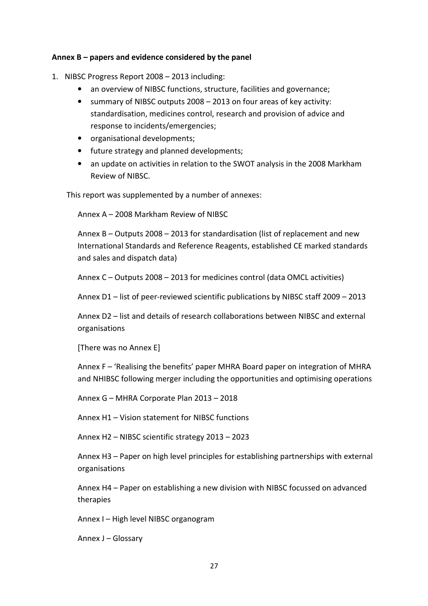#### **Annex B – papers and evidence considered by the panel**

- 1. NIBSC Progress Report 2008 2013 including:
	- an overview of NIBSC functions, structure, facilities and governance;
	- summary of NIBSC outputs 2008 2013 on four areas of key activity: standardisation, medicines control, research and provision of advice and response to incidents/emergencies;
	- organisational developments;
	- future strategy and planned developments;
	- an update on activities in relation to the SWOT analysis in the 2008 Markham Review of NIBSC.

This report was supplemented by a number of annexes:

Annex A – 2008 Markham Review of NIBSC

Annex B – Outputs 2008 – 2013 for standardisation (list of replacement and new International Standards and Reference Reagents, established CE marked standards and sales and dispatch data)

Annex C – Outputs 2008 – 2013 for medicines control (data OMCL activities)

Annex D1 – list of peer-reviewed scientific publications by NIBSC staff 2009 – 2013

Annex D2 – list and details of research collaborations between NIBSC and external organisations

[There was no Annex E]

Annex F – 'Realising the benefits' paper MHRA Board paper on integration of MHRA and NHIBSC following merger including the opportunities and optimising operations

Annex G – MHRA Corporate Plan 2013 – 2018

Annex H1 – Vision statement for NIBSC functions

Annex H2 – NIBSC scientific strategy 2013 – 2023

Annex H3 – Paper on high level principles for establishing partnerships with external organisations

Annex H4 – Paper on establishing a new division with NIBSC focussed on advanced therapies

Annex I – High level NIBSC organogram

Annex J – Glossary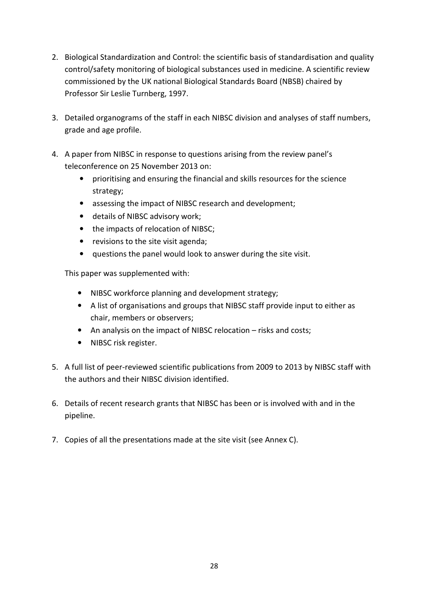- 2. Biological Standardization and Control: the scientific basis of standardisation and quality control/safety monitoring of biological substances used in medicine. A scientific review commissioned by the UK national Biological Standards Board (NBSB) chaired by Professor Sir Leslie Turnberg, 1997.
- 3. Detailed organograms of the staff in each NIBSC division and analyses of staff numbers, grade and age profile.
- 4. A paper from NIBSC in response to questions arising from the review panel's teleconference on 25 November 2013 on:
	- prioritising and ensuring the financial and skills resources for the science strategy;
	- assessing the impact of NIBSC research and development;
	- details of NIBSC advisory work;
	- the impacts of relocation of NIBSC;
	- revisions to the site visit agenda;
	- questions the panel would look to answer during the site visit.

This paper was supplemented with:

- NIBSC workforce planning and development strategy;
- A list of organisations and groups that NIBSC staff provide input to either as chair, members or observers;
- An analysis on the impact of NIBSC relocation risks and costs;
- NIBSC risk register.
- 5. A full list of peer-reviewed scientific publications from 2009 to 2013 by NIBSC staff with the authors and their NIBSC division identified.
- 6. Details of recent research grants that NIBSC has been or is involved with and in the pipeline.
- 7. Copies of all the presentations made at the site visit (see Annex C).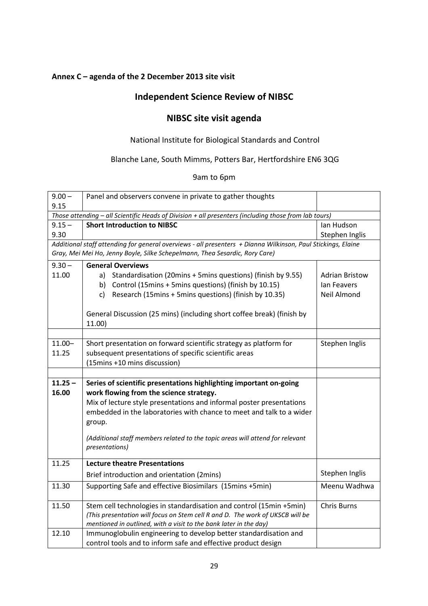# **Annex C – agenda of the 2 December 2013 site visit**

# **Independent Science Review of NIBSC**

# **NIBSC site visit agenda**

# National Institute for Biological Standards and Control

# Blanche Lane, South Mimms, Potters Bar, Hertfordshire EN6 3QG

9am to 6pm

| $9.00 -$  | Panel and observers convene in private to gather thoughts                                                    |                       |  |  |  |  |  |
|-----------|--------------------------------------------------------------------------------------------------------------|-----------------------|--|--|--|--|--|
| 9.15      |                                                                                                              |                       |  |  |  |  |  |
|           | Those attending - all Scientific Heads of Division + all presenters (including those from lab tours)         |                       |  |  |  |  |  |
| $9.15 -$  | <b>Short Introduction to NIBSC</b>                                                                           | Ian Hudson            |  |  |  |  |  |
| 9.30      |                                                                                                              | Stephen Inglis        |  |  |  |  |  |
|           | Additional staff attending for general overviews - all presenters + Dianna Wilkinson, Paul Stickings, Elaine |                       |  |  |  |  |  |
|           | Gray, Mei Mei Ho, Jenny Boyle, Silke Schepelmann, Thea Sesardic, Rory Care)                                  |                       |  |  |  |  |  |
| $9.30 -$  | <b>General Overviews</b>                                                                                     |                       |  |  |  |  |  |
| 11.00     | a) Standardisation (20mins + 5mins questions) (finish by 9.55)                                               | <b>Adrian Bristow</b> |  |  |  |  |  |
|           | b) Control (15mins + 5mins questions) (finish by 10.15)                                                      | lan Feavers           |  |  |  |  |  |
|           | Research (15mins + 5mins questions) (finish by 10.35)<br>c)                                                  | <b>Neil Almond</b>    |  |  |  |  |  |
|           |                                                                                                              |                       |  |  |  |  |  |
|           | General Discussion (25 mins) (including short coffee break) (finish by                                       |                       |  |  |  |  |  |
|           | 11.00)                                                                                                       |                       |  |  |  |  |  |
|           |                                                                                                              |                       |  |  |  |  |  |
| $11.00 -$ | Short presentation on forward scientific strategy as platform for                                            | Stephen Inglis        |  |  |  |  |  |
| 11.25     | subsequent presentations of specific scientific areas                                                        |                       |  |  |  |  |  |
|           | (15mins +10 mins discussion)                                                                                 |                       |  |  |  |  |  |
|           |                                                                                                              |                       |  |  |  |  |  |
| $11.25 -$ | Series of scientific presentations highlighting important on-going                                           |                       |  |  |  |  |  |
| 16.00     | work flowing from the science strategy.                                                                      |                       |  |  |  |  |  |
|           | Mix of lecture style presentations and informal poster presentations                                         |                       |  |  |  |  |  |
|           | embedded in the laboratories with chance to meet and talk to a wider                                         |                       |  |  |  |  |  |
|           | group.                                                                                                       |                       |  |  |  |  |  |
|           |                                                                                                              |                       |  |  |  |  |  |
|           | (Additional staff members related to the topic areas will attend for relevant                                |                       |  |  |  |  |  |
|           | presentations)                                                                                               |                       |  |  |  |  |  |
| 11.25     | <b>Lecture theatre Presentations</b>                                                                         |                       |  |  |  |  |  |
|           | Brief introduction and orientation (2mins)                                                                   | Stephen Inglis        |  |  |  |  |  |
| 11.30     | Supporting Safe and effective Biosimilars (15mins +5min)                                                     | Meenu Wadhwa          |  |  |  |  |  |
|           |                                                                                                              |                       |  |  |  |  |  |
| 11.50     | Stem cell technologies in standardisation and control (15min +5min)                                          | <b>Chris Burns</b>    |  |  |  |  |  |
|           | (This presentation will focus on Stem cell R and D. The work of UKSCB will be                                |                       |  |  |  |  |  |
|           | mentioned in outlined, with a visit to the bank later in the day)                                            |                       |  |  |  |  |  |
| 12.10     | Immunoglobulin engineering to develop better standardisation and                                             |                       |  |  |  |  |  |
|           | control tools and to inform safe and effective product design                                                |                       |  |  |  |  |  |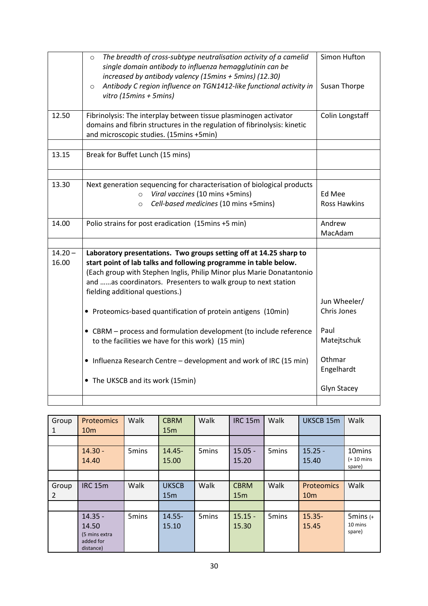|                    | The breadth of cross-subtype neutralisation activity of a camelid<br>$\circ$<br>single domain antibody to influenza hemagglutinin can be<br>increased by antibody valency (15mins + 5mins) (12.30)<br>Antibody C region influence on TGN1412-like functional activity in<br>$\circ$<br>vitro (15 $mins + 5mins$ )   | Simon Hufton<br>Susan Thorpe  |
|--------------------|---------------------------------------------------------------------------------------------------------------------------------------------------------------------------------------------------------------------------------------------------------------------------------------------------------------------|-------------------------------|
| 12.50              | Fibrinolysis: The interplay between tissue plasminogen activator<br>domains and fibrin structures in the regulation of fibrinolysis: kinetic<br>and microscopic studies. (15mins +5min)                                                                                                                             | Colin Longstaff               |
| 13.15              | Break for Buffet Lunch (15 mins)                                                                                                                                                                                                                                                                                    |                               |
| 13.30              | Next generation sequencing for characterisation of biological products<br>Viral vaccines (10 mins +5mins)<br>$\circ$<br>Cell-based medicines (10 mins +5mins)<br>$\circ$                                                                                                                                            | Ed Mee<br><b>Ross Hawkins</b> |
| 14.00              | Polio strains for post eradication (15mins +5 min)                                                                                                                                                                                                                                                                  | Andrew<br>MacAdam             |
|                    |                                                                                                                                                                                                                                                                                                                     |                               |
| $14.20 -$<br>16.00 | Laboratory presentations. Two groups setting off at 14.25 sharp to<br>start point of lab talks and following programme in table below.<br>(Each group with Stephen Inglis, Philip Minor plus Marie Donatantonio<br>and as coordinators. Presenters to walk group to next station<br>fielding additional questions.) | Jun Wheeler/                  |
|                    | • Proteomics-based quantification of protein antigens (10min)                                                                                                                                                                                                                                                       | Chris Jones                   |
|                    | • CBRM - process and formulation development (to include reference<br>to the facilities we have for this work) (15 min)                                                                                                                                                                                             | Paul<br>Matejtschuk           |
|                    | • Influenza Research Centre - development and work of IRC (15 min)                                                                                                                                                                                                                                                  | Othmar<br>Engelhardt          |
|                    | • The UKSCB and its work (15min)                                                                                                                                                                                                                                                                                    | Glyn Stacey                   |
|                    |                                                                                                                                                                                                                                                                                                                     |                               |

| Group | <b>Proteomics</b> | Walk              | <b>CBRM</b>  | Walk              | <b>IRC 15m</b>  | Walk              | UKSCB 15m       | Walk                   |
|-------|-------------------|-------------------|--------------|-------------------|-----------------|-------------------|-----------------|------------------------|
| 1     | 10 <sub>m</sub>   |                   | 15m          |                   |                 |                   |                 |                        |
|       |                   |                   |              |                   |                 |                   |                 |                        |
|       | $14.30 -$         | 5 <sub>mins</sub> | 14.45-       | 5mins             | $15.05 -$       | 5 <sub>mins</sub> | $15.25 -$       | 10mins                 |
|       | 14.40             |                   | 15.00        |                   | 15.20           |                   | 15.40           | $(+ 10$ mins<br>spare) |
|       |                   |                   |              |                   |                 |                   |                 |                        |
| Group | <b>IRC 15m</b>    | Walk              | <b>UKSCB</b> | Walk              | <b>CBRM</b>     | Walk              | Proteomics      | Walk                   |
| 2     |                   |                   | 15m          |                   | 15 <sub>m</sub> |                   | 10 <sub>m</sub> |                        |
|       |                   |                   |              |                   |                 |                   |                 |                        |
|       | $14.35 -$         | 5mins             | $14.55 -$    | 5 <sub>mins</sub> | $15.15 -$       | 5 <sub>mins</sub> | $15.35 -$       | $5 \text{mins } (+)$   |
|       | 14.50             |                   | 15.10        |                   | 15.30           |                   | 15.45           | 10 mins                |
|       | (5 mins extra     |                   |              |                   |                 |                   |                 | spare)                 |
|       | added for         |                   |              |                   |                 |                   |                 |                        |
|       | distance)         |                   |              |                   |                 |                   |                 |                        |